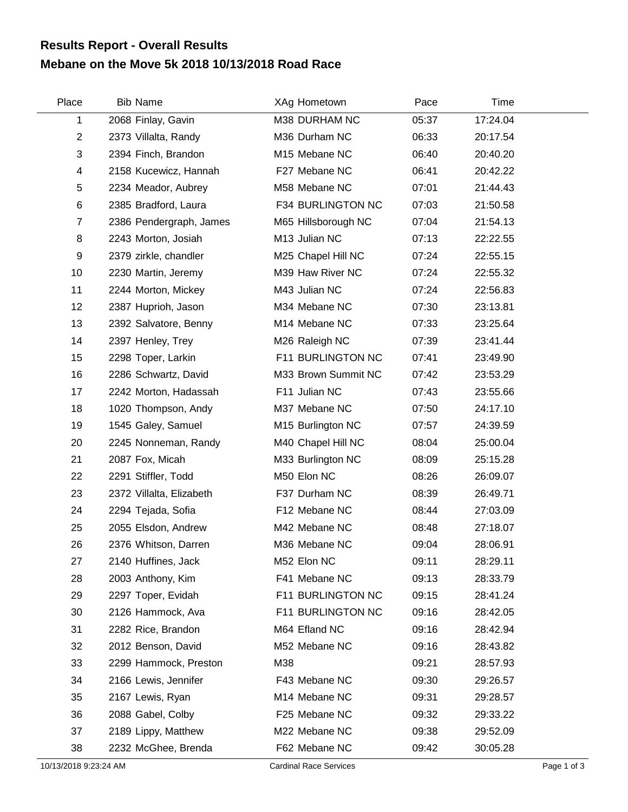## **Mebane on the Move 5k 2018 10/13/2018 Road Race Results Report - Overall Results**

| Place          | <b>Bib Name</b>          | XAg Hometown        | Pace  | Time     |  |
|----------------|--------------------------|---------------------|-------|----------|--|
| 1              | 2068 Finlay, Gavin       | M38 DURHAM NC       | 05:37 | 17:24.04 |  |
| $\overline{2}$ | 2373 Villalta, Randy     | M36 Durham NC       | 06:33 | 20:17.54 |  |
| 3              | 2394 Finch, Brandon      | M15 Mebane NC       | 06:40 | 20:40.20 |  |
| 4              | 2158 Kucewicz, Hannah    | F27 Mebane NC       | 06:41 | 20:42.22 |  |
| 5              | 2234 Meador, Aubrey      | M58 Mebane NC       | 07:01 | 21:44.43 |  |
| 6              | 2385 Bradford, Laura     | F34 BURLINGTON NC   | 07:03 | 21:50.58 |  |
| $\overline{7}$ | 2386 Pendergraph, James  | M65 Hillsborough NC | 07:04 | 21:54.13 |  |
| 8              | 2243 Morton, Josiah      | M13 Julian NC       | 07:13 | 22:22.55 |  |
| 9              | 2379 zirkle, chandler    | M25 Chapel Hill NC  | 07:24 | 22:55.15 |  |
| 10             | 2230 Martin, Jeremy      | M39 Haw River NC    | 07:24 | 22:55.32 |  |
| 11             | 2244 Morton, Mickey      | M43 Julian NC       | 07:24 | 22:56.83 |  |
| 12             | 2387 Huprioh, Jason      | M34 Mebane NC       | 07:30 | 23:13.81 |  |
| 13             | 2392 Salvatore, Benny    | M14 Mebane NC       | 07:33 | 23:25.64 |  |
| 14             | 2397 Henley, Trey        | M26 Raleigh NC      | 07:39 | 23:41.44 |  |
| 15             | 2298 Toper, Larkin       | F11 BURLINGTON NC   | 07:41 | 23:49.90 |  |
| 16             | 2286 Schwartz, David     | M33 Brown Summit NC | 07:42 | 23:53.29 |  |
| 17             | 2242 Morton, Hadassah    | F11 Julian NC       | 07:43 | 23:55.66 |  |
| 18             | 1020 Thompson, Andy      | M37 Mebane NC       | 07:50 | 24:17.10 |  |
| 19             | 1545 Galey, Samuel       | M15 Burlington NC   | 07:57 | 24:39.59 |  |
| 20             | 2245 Nonneman, Randy     | M40 Chapel Hill NC  | 08:04 | 25:00.04 |  |
| 21             | 2087 Fox, Micah          | M33 Burlington NC   | 08:09 | 25:15.28 |  |
| 22             | 2291 Stiffler, Todd      | M50 Elon NC         | 08:26 | 26:09.07 |  |
| 23             | 2372 Villalta, Elizabeth | F37 Durham NC       | 08:39 | 26:49.71 |  |
| 24             | 2294 Tejada, Sofia       | F12 Mebane NC       | 08:44 | 27:03.09 |  |
| 25             | 2055 Elsdon, Andrew      | M42 Mebane NC       | 08:48 | 27:18.07 |  |
| 26             | 2376 Whitson, Darren     | M36 Mebane NC       | 09:04 | 28:06.91 |  |
| 27             | 2140 Huffines, Jack      | M52 Elon NC         | 09:11 | 28:29.11 |  |
| 28             | 2003 Anthony, Kim        | F41 Mebane NC       | 09:13 | 28:33.79 |  |
| 29             | 2297 Toper, Evidah       | F11 BURLINGTON NC   | 09:15 | 28:41.24 |  |
| 30             | 2126 Hammock, Ava        | F11 BURLINGTON NC   | 09:16 | 28:42.05 |  |
| 31             | 2282 Rice, Brandon       | M64 Efland NC       | 09:16 | 28:42.94 |  |
| 32             | 2012 Benson, David       | M52 Mebane NC       | 09:16 | 28:43.82 |  |
| 33             | 2299 Hammock, Preston    | M38                 | 09:21 | 28:57.93 |  |
| 34             | 2166 Lewis, Jennifer     | F43 Mebane NC       | 09:30 | 29:26.57 |  |
| 35             | 2167 Lewis, Ryan         | M14 Mebane NC       | 09:31 | 29:28.57 |  |
| 36             | 2088 Gabel, Colby        | F25 Mebane NC       | 09:32 | 29:33.22 |  |
| 37             | 2189 Lippy, Matthew      | M22 Mebane NC       | 09:38 | 29:52.09 |  |
| 38             | 2232 McGhee, Brenda      | F62 Mebane NC       | 09:42 | 30:05.28 |  |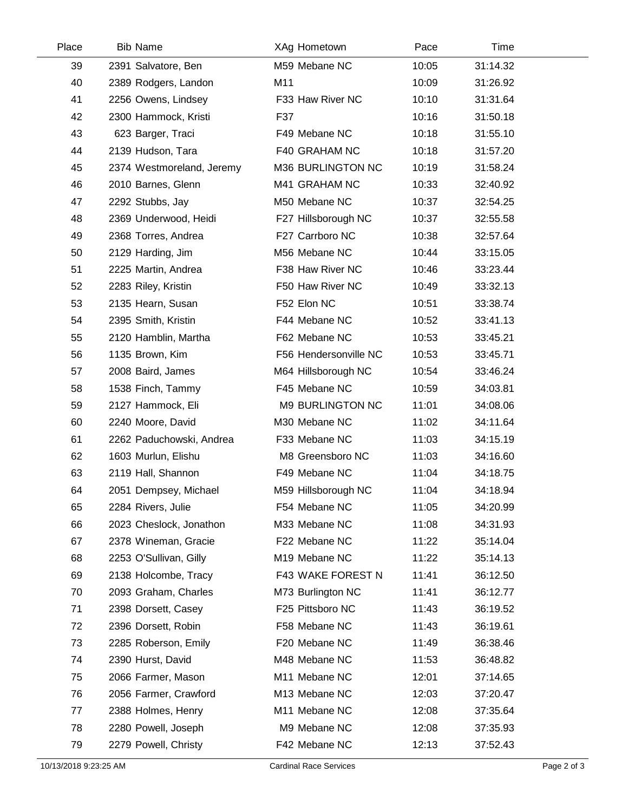| Place | <b>Bib Name</b>           | XAg Hometown          | Pace  | Time     |  |
|-------|---------------------------|-----------------------|-------|----------|--|
| 39    | 2391 Salvatore, Ben       | M59 Mebane NC         | 10:05 | 31:14.32 |  |
| 40    | 2389 Rodgers, Landon      | M11                   | 10:09 | 31:26.92 |  |
| 41    | 2256 Owens, Lindsey       | F33 Haw River NC      | 10:10 | 31:31.64 |  |
| 42    | 2300 Hammock, Kristi      | F37                   | 10:16 | 31:50.18 |  |
| 43    | 623 Barger, Traci         | F49 Mebane NC         | 10:18 | 31:55.10 |  |
| 44    | 2139 Hudson, Tara         | F40 GRAHAM NC         | 10:18 | 31:57.20 |  |
| 45    | 2374 Westmoreland, Jeremy | M36 BURLINGTON NC     | 10:19 | 31:58.24 |  |
| 46    | 2010 Barnes, Glenn        | M41 GRAHAM NC         | 10:33 | 32:40.92 |  |
| 47    | 2292 Stubbs, Jay          | M50 Mebane NC         | 10:37 | 32:54.25 |  |
| 48    | 2369 Underwood, Heidi     | F27 Hillsborough NC   | 10:37 | 32:55.58 |  |
| 49    | 2368 Torres, Andrea       | F27 Carrboro NC       | 10:38 | 32:57.64 |  |
| 50    | 2129 Harding, Jim         | M56 Mebane NC         | 10:44 | 33:15.05 |  |
| 51    | 2225 Martin, Andrea       | F38 Haw River NC      | 10:46 | 33:23.44 |  |
| 52    | 2283 Riley, Kristin       | F50 Haw River NC      | 10:49 | 33:32.13 |  |
| 53    | 2135 Hearn, Susan         | F52 Elon NC           | 10:51 | 33:38.74 |  |
| 54    | 2395 Smith, Kristin       | F44 Mebane NC         | 10:52 | 33:41.13 |  |
| 55    | 2120 Hamblin, Martha      | F62 Mebane NC         | 10:53 | 33:45.21 |  |
| 56    | 1135 Brown, Kim           | F56 Hendersonville NC | 10:53 | 33:45.71 |  |
| 57    | 2008 Baird, James         | M64 Hillsborough NC   | 10:54 | 33:46.24 |  |
| 58    | 1538 Finch, Tammy         | F45 Mebane NC         | 10:59 | 34:03.81 |  |
| 59    | 2127 Hammock, Eli         | M9 BURLINGTON NC      | 11:01 | 34:08.06 |  |
| 60    | 2240 Moore, David         | M30 Mebane NC         | 11:02 | 34:11.64 |  |
| 61    | 2262 Paduchowski, Andrea  | F33 Mebane NC         | 11:03 | 34:15.19 |  |
| 62    | 1603 Murlun, Elishu       | M8 Greensboro NC      | 11:03 | 34:16.60 |  |
| 63    | 2119 Hall, Shannon        | F49 Mebane NC         | 11:04 | 34:18.75 |  |
| 64    | 2051 Dempsey, Michael     | M59 Hillsborough NC   | 11:04 | 34:18.94 |  |
| 65    | 2284 Rivers, Julie        | F54 Mebane NC         | 11:05 | 34:20.99 |  |
| 66    | 2023 Cheslock, Jonathon   | M33 Mebane NC         | 11:08 | 34:31.93 |  |
| 67    | 2378 Wineman, Gracie      | F22 Mebane NC         | 11:22 | 35:14.04 |  |
| 68    | 2253 O'Sullivan, Gilly    | M19 Mebane NC         | 11:22 | 35:14.13 |  |
| 69    | 2138 Holcombe, Tracy      | F43 WAKE FOREST N     | 11:41 | 36:12.50 |  |
| 70    | 2093 Graham, Charles      | M73 Burlington NC     | 11:41 | 36:12.77 |  |
| 71    | 2398 Dorsett, Casey       | F25 Pittsboro NC      | 11:43 | 36:19.52 |  |
| 72    | 2396 Dorsett, Robin       | F58 Mebane NC         | 11:43 | 36:19.61 |  |
| 73    | 2285 Roberson, Emily      | F20 Mebane NC         | 11:49 | 36:38.46 |  |
| 74    | 2390 Hurst, David         | M48 Mebane NC         | 11:53 | 36:48.82 |  |
| 75    | 2066 Farmer, Mason        | M11 Mebane NC         | 12:01 | 37:14.65 |  |
| 76    | 2056 Farmer, Crawford     | M13 Mebane NC         | 12:03 | 37:20.47 |  |
| 77    | 2388 Holmes, Henry        | M11 Mebane NC         | 12:08 | 37:35.64 |  |
| 78    | 2280 Powell, Joseph       | M9 Mebane NC          | 12:08 | 37:35.93 |  |
| 79    | 2279 Powell, Christy      | F42 Mebane NC         | 12:13 | 37:52.43 |  |